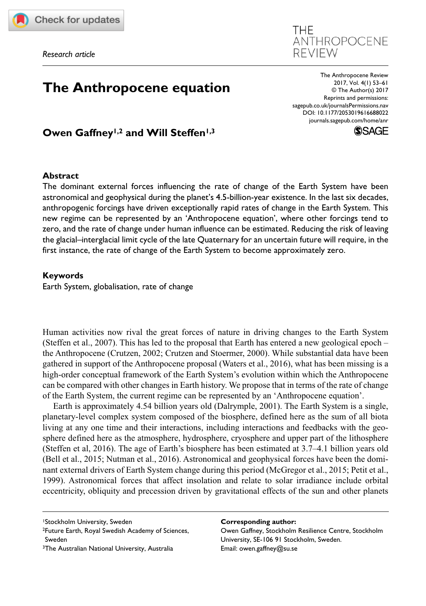

# REVIEW<br> **The Anthropocene equation**<br> **The Anthropocene Review**<br>
<sup>2017, Vol. 4(1) 53–61<br>
<sup>2017, Vol. 4(1) 53–61<br>
<sup>2017, Vol. 4(1) 53–61</sup></sup></sup>

DOI: 10.1177/2053019616688022 The Anthropocene Review 2017, Vol. 4(1) 53–61 © The Author(s) 2016 Reprints and permissions: [sagepub.co.uk/journalsPermissions.nav](https://uk.sagepub.com/en-gb/journals-permissions) [journals.sagepub.com/home/anr](http://journals.sagepub.com/home/anr)

ANTHROPOCENE

**THF** 



Owen Gaffney<sup>1,2</sup> and Will Steffen<sup>1,3</sup>

## **Abstract**

The dominant external forces influencing the rate of change of the Earth System have been astronomical and geophysical during the planet's 4.5-billion-year existence. In the last six decades, anthropogenic forcings have driven exceptionally rapid rates of change in the Earth System. This new regime can be represented by an 'Anthropocene equation', where other forcings tend to zero, and the rate of change under human influence can be estimated. Reducing the risk of leaving the glacial–interglacial limit cycle of the late Quaternary for an uncertain future will require, in the first instance, the rate of change of the Earth System to become approximately zero.

### **Keywords**

Earth System, globalisation, rate of change

Human activities now rival the great forces of nature in driving changes to the Earth System (Steffen et al., 2007). This has led to the proposal that Earth has entered a new geological epoch – the Anthropocene (Crutzen, 2002; Crutzen and Stoermer, 2000). While substantial data have been gathered in support of the Anthropocene proposal (Waters et al., 2016), what has been missing is a high-order conceptual framework of the Earth System's evolution within which the Anthropocene can be compared with other changes in Earth history. We propose that in terms of the rate of change of the Earth System, the current regime can be represented by an 'Anthropocene equation'.

Earth is approximately 4.54 billion years old (Dalrymple, 2001). The Earth System is a single, planetary-level complex system composed of the biosphere, defined here as the sum of all biota living at any one time and their interactions, including interactions and feedbacks with the geosphere defined here as the atmosphere, hydrosphere, cryosphere and upper part of the lithosphere (Steffen et al, 2016). The age of Earth's biosphere has been estimated at 3.7–4.1 billion years old (Bell et al., 2015; Nutman et al., 2016). Astronomical and geophysical forces have been the dominant external drivers of Earth System change during this period (McGregor et al., 2015; Petit et al., 1999). Astronomical forces that affect insolation and relate to solar irradiance include orbital eccentricity, obliquity and precession driven by gravitational effects of the sun and other planets

#### **Corresponding author:**

Owen Gaffney, Stockholm Resilience Centre, Stockholm University, SE-106 91 Stockholm, Sweden. Email: [owen.gaffney@su.se](mailto:owen.gaffney@su.se)

<sup>1</sup>Stockholm University, Sweden

<sup>2</sup>Future Earth, Royal Swedish Academy of Sciences, Sweden

<sup>3</sup>The Australian National University, Australia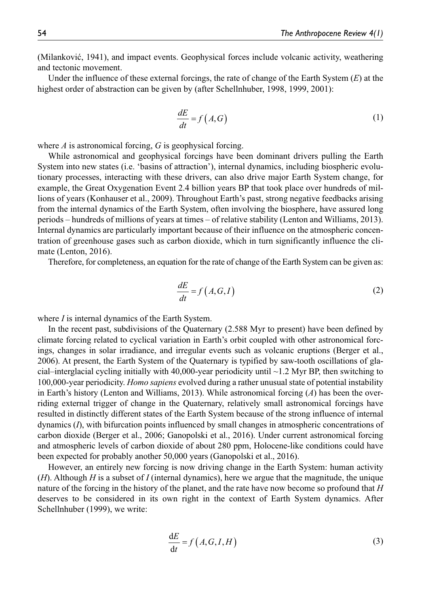(Milanković, 1941), and impact events. Geophysical forces include volcanic activity, weathering and tectonic movement.

Under the influence of these external forcings, the rate of change of the Earth System (*E*) at the highest order of abstraction can be given by (after Schellnhuber, 1998, 1999, 2001):

$$
\frac{dE}{dt} = f(A, G) \tag{1}
$$

where *A* is astronomical forcing, *G* is geophysical forcing.

While astronomical and geophysical forcings have been dominant drivers pulling the Earth System into new states (i.e. 'basins of attraction'), internal dynamics, including biospheric evolutionary processes, interacting with these drivers, can also drive major Earth System change, for example, the Great Oxygenation Event 2.4 billion years BP that took place over hundreds of millions of years (Konhauser et al., 2009). Throughout Earth's past, strong negative feedbacks arising from the internal dynamics of the Earth System, often involving the biosphere, have assured long periods – hundreds of millions of years at times – of relative stability (Lenton and Williams, 2013). Internal dynamics are particularly important because of their influence on the atmospheric concentration of greenhouse gases such as carbon dioxide, which in turn significantly influence the climate (Lenton, 2016).

Therefore, for completeness, an equation for the rate of change of the Earth System can be given as:

$$
\frac{dE}{dt} = f(A, G, I) \tag{2}
$$

where *I* is internal dynamics of the Earth System.

In the recent past, subdivisions of the Quaternary (2.588 Myr to present) have been defined by climate forcing related to cyclical variation in Earth's orbit coupled with other astronomical forcings, changes in solar irradiance, and irregular events such as volcanic eruptions (Berger et al., 2006). At present, the Earth System of the Quaternary is typified by saw-tooth oscillations of glacial–interglacial cycling initially with 40,000-year periodicity until ~1.2 Myr BP, then switching to 100,000-year periodicity. *Homo sapiens* evolved during a rather unusual state of potential instability in Earth's history (Lenton and Williams, 2013). While astronomical forcing (*A*) has been the overriding external trigger of change in the Quaternary, relatively small astronomical forcings have resulted in distinctly different states of the Earth System because of the strong influence of internal dynamics (*I*), with bifurcation points influenced by small changes in atmospheric concentrations of carbon dioxide (Berger et al., 2006; Ganopolski et al., 2016). Under current astronomical forcing and atmospheric levels of carbon dioxide of about 280 ppm, Holocene-like conditions could have been expected for probably another 50,000 years (Ganopolski et al., 2016).

However, an entirely new forcing is now driving change in the Earth System: human activity (*H*). Although *H* is a subset of *I* (internal dynamics), here we argue that the magnitude, the unique nature of the forcing in the history of the planet, and the rate have now become so profound that *H* deserves to be considered in its own right in the context of Earth System dynamics. After Schellnhuber (1999), we write:

$$
\frac{dE}{dt} = f(A, G, I, H) \tag{3}
$$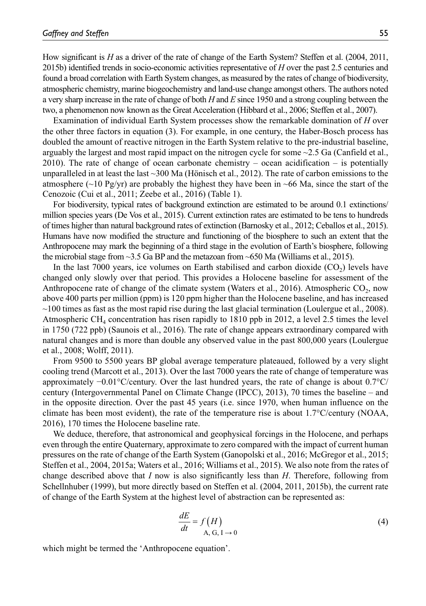How significant is *H* as a driver of the rate of change of the Earth System? Steffen et al. (2004, 2011, 2015b) identified trends in socio-economic activities representative of *H* over the past 2.5 centuries and found a broad correlation with Earth System changes, as measured by the rates of change of biodiversity, atmospheric chemistry, marine biogeochemistry and land-use change amongst others. The authors noted a very sharp increase in the rate of change of both *H* and *E* since 1950 and a strong coupling between the two, a phenomenon now known as the Great Acceleration (Hibbard et al., 2006; Steffen et al., 2007).

Examination of individual Earth System processes show the remarkable domination of *H* over the other three factors in equation (3). For example, in one century, the Haber-Bosch process has doubled the amount of reactive nitrogen in the Earth System relative to the pre-industrial baseline, arguably the largest and most rapid impact on the nitrogen cycle for some  $\sim$  2.5 Ga (Canfield et al., 2010). The rate of change of ocean carbonate chemistry – ocean acidification – is potentially unparalleled in at least the last ~300 Ma (Hönisch et al., 2012). The rate of carbon emissions to the atmosphere ( $\sim$ 10 Pg/yr) are probably the highest they have been in  $\sim$ 66 Ma, since the start of the Cenozoic (Cui et al., 2011; Zeebe et al., 2016) (Table 1).

For biodiversity, typical rates of background extinction are estimated to be around 0.1 extinctions/ million species years (De Vos et al., 2015). Current extinction rates are estimated to be tens to hundreds of times higher than natural background rates of extinction (Barnosky et al., 2012; Ceballos et al., 2015). Humans have now modified the structure and functioning of the biosphere to such an extent that the Anthropocene may mark the beginning of a third stage in the evolution of Earth's biosphere, following the microbial stage from  $\sim$ 3.5 Ga BP and the metazoan from  $\sim$ 650 Ma (Williams et al., 2015).

In the last 7000 years, ice volumes on Earth stabilised and carbon dioxide  $(CO<sub>2</sub>)$  levels have changed only slowly over that period. This provides a Holocene baseline for assessment of the Anthropocene rate of change of the climate system (Waters et al., 2016). Atmospheric  $CO<sub>2</sub>$ , now above 400 parts per million (ppm) is 120 ppm higher than the Holocene baseline, and has increased  $\sim$ 100 times as fast as the most rapid rise during the last glacial termination (Loulergue et al., 2008). Atmospheric CH<sub>4</sub> concentration has risen rapidly to 1810 ppb in 2012, a level 2.5 times the level in 1750 (722 ppb) (Saunois et al., 2016). The rate of change appears extraordinary compared with natural changes and is more than double any observed value in the past 800,000 years (Loulergue et al., 2008; Wolff, 2011).

From 9500 to 5500 years BP global average temperature plateaued, followed by a very slight cooling trend (Marcott et al., 2013). Over the last 7000 years the rate of change of temperature was approximately −0.01°C/century. Over the last hundred years, the rate of change is about 0.7°C/ century (Intergovernmental Panel on Climate Change (IPCC), 2013), 70 times the baseline – and in the opposite direction. Over the past 45 years (i.e. since 1970, when human influence on the climate has been most evident), the rate of the temperature rise is about 1.7°C/century (NOAA, 2016), 170 times the Holocene baseline rate.

We deduce, therefore, that astronomical and geophysical forcings in the Holocene, and perhaps even through the entire Quaternary, approximate to zero compared with the impact of current human pressures on the rate of change of the Earth System (Ganopolski et al., 2016; McGregor et al., 2015; Steffen et al., 2004, 2015a; Waters et al., 2016; Williams et al., 2015). We also note from the rates of change described above that *I* now is also significantly less than *H*. Therefore, following from Schellnhuber (1999), but more directly based on Steffen et al. (2004, 2011, 2015b), the current rate of change of the Earth System at the highest level of abstraction can be represented as:

$$
\frac{dE}{dt} = f\left(H\right) \tag{4}
$$

which might be termed the 'Anthropocene equation'.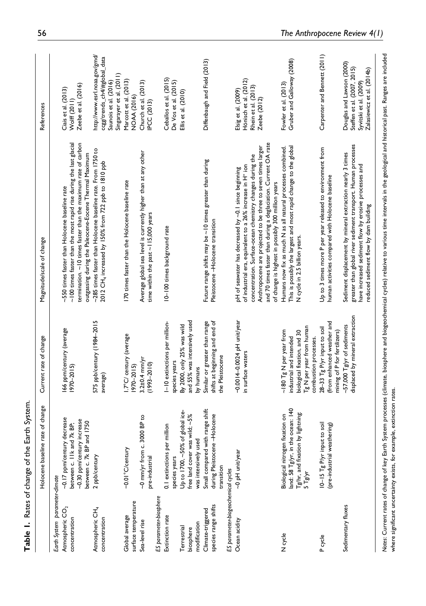|                                                                                | Holocene baseline rate of change                                                                                        | Current rate of change                                                                                                                       | Magnitude/scale of change                                                                                                                                                                                                                                                                                                                                                           | References                                                                                                         |
|--------------------------------------------------------------------------------|-------------------------------------------------------------------------------------------------------------------------|----------------------------------------------------------------------------------------------------------------------------------------------|-------------------------------------------------------------------------------------------------------------------------------------------------------------------------------------------------------------------------------------------------------------------------------------------------------------------------------------------------------------------------------------|--------------------------------------------------------------------------------------------------------------------|
| Earth System parameter-climate<br>Atmospheric CO <sub>2</sub><br>concentration | ~0.17 ppm/century decrease<br>~0.30 ppm/century increase<br>and 1750<br>between c. I lk and 7k BP;<br>between c. 7k BP  | 166 ppm/century (average<br>1970–2015)                                                                                                       | $\sim$ 100 times faster than the most rapid rise during the last glacial<br>termination. ~10 times faster than the maximum rate of carbon<br>outgassing during the Paleocene-Eocene Thermal Maximum<br>~550 times faster than Holocene baseline rate                                                                                                                                | Zeebe et al. (2016)<br>Ciais et al. (2013)<br>Wolff (2011)                                                         |
| Atmospheric CH <sub>4</sub><br>concentration                                   | 2 ppb/century                                                                                                           | 575 ppb/century (1984-2015<br>average)                                                                                                       | ~285 times faster than Holocene baseline rate. From 1750 to<br>2012 CH4 increased by 150% from 722 ppb to 1810 ppb                                                                                                                                                                                                                                                                  | http://www.esrl.noaa.gov/gmd/<br>ccgg/trends_ch4/#global_data<br>Singarayer et al. (2011)<br>Saunois et al. (2016) |
| surface temperature<br>Global average                                          | $-0.01$ °C/century                                                                                                      | I.7°C/ century (average<br>(5) 07-0761                                                                                                       | 170 times faster than the Holocene baseline rate                                                                                                                                                                                                                                                                                                                                    | Marcott et al. (2013)<br>NOAA (2016)                                                                               |
| Sea-level rise                                                                 | 3000 BP to<br>~0 mm/yr from c<br>pre-industrial                                                                         | $3.2\pm0.4$ mm/yr<br>$(1993 - 2010)$                                                                                                         | Average global sea level is currently higher than at any other<br>time within the past ~115,000 years                                                                                                                                                                                                                                                                               | Church et al. (2013)<br><b>IPCC (2013)</b>                                                                         |
| ES parameter-biosphere                                                         |                                                                                                                         |                                                                                                                                              |                                                                                                                                                                                                                                                                                                                                                                                     |                                                                                                                    |
| Extinction rate                                                                | 0.1 extinctions per million<br>species years                                                                            | I-10 extinctions per million-<br>species years                                                                                               | 10-100 times background rate                                                                                                                                                                                                                                                                                                                                                        | Ceballos et al. (2015)<br>De Vos et al. (2015)                                                                     |
| Terrestrial                                                                    | Up to 1700, ~50% of global ice-                                                                                         | By 2000, only 25% was wild                                                                                                                   |                                                                                                                                                                                                                                                                                                                                                                                     | Ellis et al. (2010)                                                                                                |
| biosphere                                                                      | free land cover was wild; ~5%                                                                                           | and 55% was intensively used                                                                                                                 |                                                                                                                                                                                                                                                                                                                                                                                     |                                                                                                                    |
| modification                                                                   | was intensively used                                                                                                    | by humans                                                                                                                                    |                                                                                                                                                                                                                                                                                                                                                                                     |                                                                                                                    |
| species range shifts<br>Climate-triggered                                      | Small compared with range shift<br>during Pleistocene -Holocene<br>transition                                           | Similar or greater than range<br>shifts at beginning and end of<br>the Pleistocene                                                           | Future range shifts may be $\sim$ 10 times greater than during<br>Pleistocene-Holocene transition                                                                                                                                                                                                                                                                                   | Diffenbaugh and Field (2013)                                                                                       |
| ES parameter-biogeochemical cycles                                             |                                                                                                                         |                                                                                                                                              |                                                                                                                                                                                                                                                                                                                                                                                     |                                                                                                                    |
| Ocean acidity                                                                  | ~0 pH unit/year                                                                                                         | $-0.001 + 0.0024$ pH unit/year<br>in surface waters                                                                                          | and 70 times faster than during a deglaciation. Current OA rate<br>Anthropocene are projected to be three to seven times larger<br>concentration. Surface-ocean chemistry changes during the<br>of industrial era, equivalent to a 26% increase in H <sup>+</sup> ion<br>pH of seawater has decreased by ~0.1 since beginning<br>of change is highest in possibly 300 million years | Hönisch et al. (2012)<br>Rhein et al. (2013)<br>Elsig et al. (2009)<br>Zeebe (2012)                                |
| N cycle                                                                        | land: 58 Tg/yr, in the ocean: 140<br>$Tg$ /hr, and fixation by lightning:<br>Biological nitrogen fixation on<br>5 Tg/yr | Tg N per year from human<br>$\sim$ 180 Tg N per year from<br>biological fixation, and 30<br>industrial and intended<br>combustion processes. | This is possibly the largest and most rapid change to the global<br>Humans now fix as much N as all natural processes combined.<br>N cycle in 2.5 billion years.                                                                                                                                                                                                                    | Gruber and Galloway (2008)<br>Fowler et al. (2013)                                                                 |
| cycle                                                                          | $10-15$ Tg P/yr input to soil<br>(pre-industrial weathering)                                                            | (from enhanced weather and<br>28-33 Tg P/yr input to soil<br>mining of P for fertilizers)                                                    | Up to 3 times more P per year released to environment from<br>human activities compared with Holocene baseline                                                                                                                                                                                                                                                                      | Carpenter and Bennett (2011)                                                                                       |
| Sedimentary fluxes                                                             |                                                                                                                         | displaced by mineral extraction<br>~57,000 $Tgyr$ of sediments                                                                               | greater than global river sediment transport. Human processes<br>Sediment displacement by mineral extraction nearly 3 times<br>have increased sediment flow by erosive processes and<br>reduced sediment flow by dam building                                                                                                                                                       | Douglas and Lawson (2000)<br>Steffen et al. (2007, 2015)<br>Zalasiewicz et al. (2014b)<br>Syvitski et al. (2009)   |

**Table 1.** Rates of change of the Earth System.

Table 1. Rates of change of the Earth System.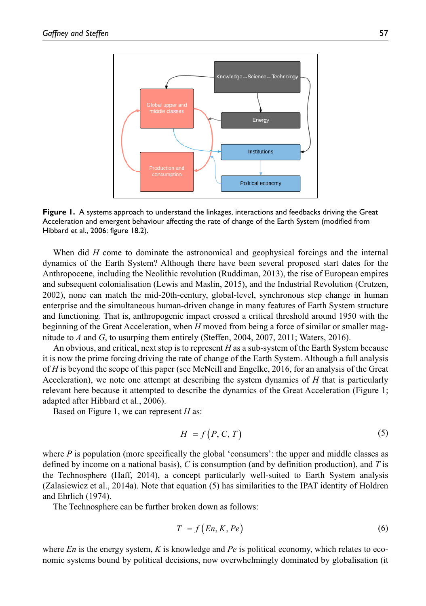

**Figure 1.** A systems approach to understand the linkages, interactions and feedbacks driving the Great Acceleration and emergent behaviour affecting the rate of change of the Earth System (modified from Hibbard et al., 2006: figure 18.2).

When did *H* come to dominate the astronomical and geophysical forcings and the internal dynamics of the Earth System? Although there have been several proposed start dates for the Anthropocene, including the Neolithic revolution (Ruddiman, 2013), the rise of European empires and subsequent colonialisation (Lewis and Maslin, 2015), and the Industrial Revolution (Crutzen, 2002), none can match the mid-20th-century, global-level, synchronous step change in human enterprise and the simultaneous human-driven change in many features of Earth System structure and functioning. That is, anthropogenic impact crossed a critical threshold around 1950 with the beginning of the Great Acceleration, when *H* moved from being a force of similar or smaller magnitude to *A* and *G*, to usurping them entirely (Steffen, 2004, 2007, 2011; Waters, 2016).

An obvious, and critical, next step is to represent *H* as a sub-system of the Earth System because it is now the prime forcing driving the rate of change of the Earth System. Although a full analysis of *H* is beyond the scope of this paper (see McNeill and Engelke, 2016, for an analysis of the Great Acceleration), we note one attempt at describing the system dynamics of *H* that is particularly relevant here because it attempted to describe the dynamics of the Great Acceleration (Figure 1; adapted after Hibbard et al., 2006).

Based on Figure 1, we can represent *H* as:

$$
H = f(P, C, T) \tag{5}
$$

where  $P$  is population (more specifically the global 'consumers': the upper and middle classes as defined by income on a national basis), *C* is consumption (and by definition production), and *T* is the Technosphere (Haff, 2014), a concept particularly well-suited to Earth System analysis (Zalasiewicz et al., 2014a). Note that equation (5) has similarities to the IPAT identity of Holdren and Ehrlich (1974).

The Technosphere can be further broken down as follows:

$$
T = f(En, K, Pe) \tag{6}
$$

where *En* is the energy system, *K* is knowledge and *Pe* is political economy, which relates to economic systems bound by political decisions, now overwhelmingly dominated by globalisation (it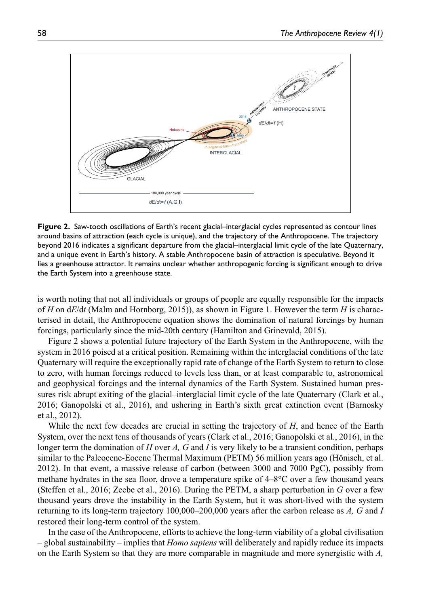

**Figure 2.** Saw-tooth oscillations of Earth's recent glacial–interglacial cycles represented as contour lines around basins of attraction (each cycle is unique), and the trajectory of the Anthropocene. The trajectory beyond 2016 indicates a significant departure from the glacial–interglacial limit cycle of the late Quaternary, and a unique event in Earth's history. A stable Anthropocene basin of attraction is speculative. Beyond it lies a greenhouse attractor. It remains unclear whether anthropogenic forcing is significant enough to drive the Earth System into a greenhouse state.

is worth noting that not all individuals or groups of people are equally responsible for the impacts of *H* on d*E*/d*t* (Malm and Hornborg, 2015)), as shown in Figure 1. However the term *H* is characterised in detail, the Anthropocene equation shows the domination of natural forcings by human forcings, particularly since the mid-20th century (Hamilton and Grinevald, 2015).

Figure 2 shows a potential future trajectory of the Earth System in the Anthropocene, with the system in 2016 poised at a critical position. Remaining within the interglacial conditions of the late Quaternary will require the exceptionally rapid rate of change of the Earth System to return to close to zero, with human forcings reduced to levels less than, or at least comparable to, astronomical and geophysical forcings and the internal dynamics of the Earth System. Sustained human pressures risk abrupt exiting of the glacial–interglacial limit cycle of the late Quaternary (Clark et al., 2016; Ganopolski et al., 2016), and ushering in Earth's sixth great extinction event (Barnosky et al., 2012).

While the next few decades are crucial in setting the trajectory of *H*, and hence of the Earth System, over the next tens of thousands of years (Clark et al., 2016; Ganopolski et al., 2016), in the longer term the domination of *H* over *A, G* and *I* is very likely to be a transient condition, perhaps similar to the Paleocene-Eocene Thermal Maximum (PETM) 56 million years ago (Hönisch, et al. 2012). In that event, a massive release of carbon (between 3000 and 7000 PgC), possibly from methane hydrates in the sea floor, drove a temperature spike of  $4-8^{\circ}$ C over a few thousand years (Steffen et al., 2016; Zeebe et al., 2016). During the PETM, a sharp perturbation in *G* over a few thousand years drove the instability in the Earth System, but it was short-lived with the system returning to its long-term trajectory 100,000–200,000 years after the carbon release as *A, G* and *I* restored their long-term control of the system.

In the case of the Anthropocene, efforts to achieve the long-term viability of a global civilisation – global sustainability – implies that *Homo sapiens* will deliberately and rapidly reduce its impacts on the Earth System so that they are more comparable in magnitude and more synergistic with *A,*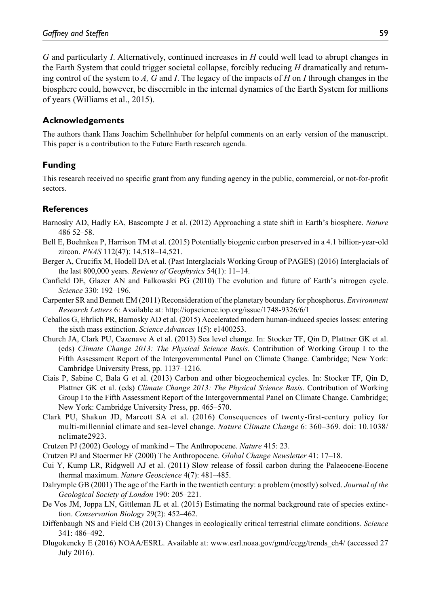*G* and particularly *I*. Alternatively, continued increases in *H* could well lead to abrupt changes in the Earth System that could trigger societal collapse, forcibly reducing *H* dramatically and returning control of the system to *A, G* and *I*. The legacy of the impacts of *H* on *I* through changes in the biosphere could, however, be discernible in the internal dynamics of the Earth System for millions of years (Williams et al., 2015).

# **Acknowledgements**

The authors thank Hans Joachim Schellnhuber for helpful comments on an early version of the manuscript. This paper is a contribution to the Future Earth research agenda.

# **Funding**

This research received no specific grant from any funding agency in the public, commercial, or not-for-profit sectors.

# **References**

- Barnosky AD, Hadly EA, Bascompte J et al. (2012) Approaching a state shift in Earth's biosphere. *Nature* 486 52–58.
- Bell E, Boehnkea P, Harrison TM et al. (2015) Potentially biogenic carbon preserved in a 4.1 billion-year-old zircon. *PNAS* 112(47): 14,518–14,521.
- Berger A, Crucifix M, Hodell DA et al. (Past Interglacials Working Group of PAGES) (2016) Interglacials of the last 800,000 years. *Reviews of Geophysics* 54(1): 11–14.
- Canfield DE, Glazer AN and Falkowski PG (2010) The evolution and future of Earth's nitrogen cycle. *Science* 330: 192–196.
- Carpenter SR and Bennett EM (2011) Reconsideration of the planetary boundary for phosphorus. *Environment Research Letters* 6: Available at: <http://iopscience.iop.org/issue/1748-9326/6/1>
- Ceballos G, Ehrlich PR, Barnosky AD et al. (2015) Accelerated modern human-induced species losses: entering the sixth mass extinction. *Science Advances* 1(5): e1400253.
- Church JA, Clark PU, Cazenave A et al. (2013) Sea level change. In: Stocker TF, Qin D, Plattner GK et al. (eds) *Climate Change 2013: The Physical Science Basis*. Contribution of Working Group I to the Fifth Assessment Report of the Intergovernmental Panel on Climate Change. Cambridge; New York: Cambridge University Press, pp. 1137–1216.
- Ciais P, Sabine C, Bala G et al. (2013) Carbon and other biogeochemical cycles. In: Stocker TF, Qin D, Plattner GK et al. (eds) *Climate Change 2013: The Physical Science Basis*. Contribution of Working Group I to the Fifth Assessment Report of the Intergovernmental Panel on Climate Change. Cambridge; New York: Cambridge University Press, pp. 465–570.
- Clark PU, Shakun JD, Marcott SA et al. (2016) Consequences of twenty-first-century policy for multi-millennial climate and sea-level change. *Nature Climate Change* 6: 360–369. doi: 10.1038/ nclimate2923.
- Crutzen PJ (2002) Geology of mankind The Anthropocene. *Nature* 415: 23.
- Crutzen PJ and Stoermer EF (2000) The Anthropocene. *Global Change Newsletter* 41: 17–18.
- Cui Y, Kump LR, Ridgwell AJ et al. (2011) Slow release of fossil carbon during the Palaeocene-Eocene thermal maximum. *Nature Geoscience* 4(7): 481–485.
- Dalrymple GB (2001) The age of the Earth in the twentieth century: a problem (mostly) solved. *Journal of the Geological Society of London* 190: 205–221.
- De Vos JM, Joppa LN, Gittleman JL et al. (2015) Estimating the normal background rate of species extinction. *Conservation Biology* 29(2): 452–462.
- Diffenbaugh NS and Field CB (2013) Changes in ecologically critical terrestrial climate conditions. *Science* 341: 486–492.
- Dlugokencky E (2016) NOAA/ESRL. Available at: [www.esrl.noaa.gov/gmd/ccgg/trends\\_ch4/](http://www.esrl.noaa.gov/gmd/ccgg/trends_ch4/) (accessed 27 July 2016).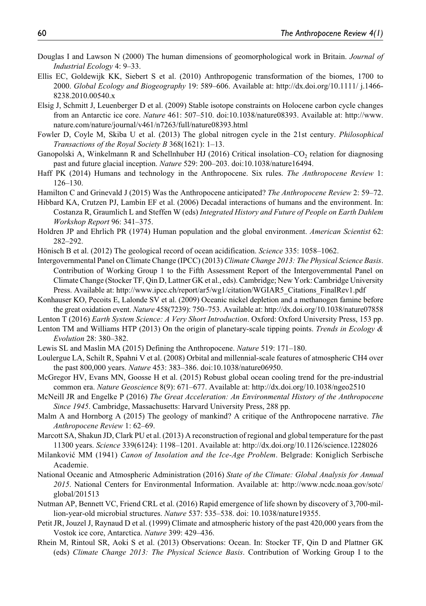- Douglas I and Lawson N (2000) The human dimensions of geomorphological work in Britain. *Journal of Industrial Ecology* 4: 9–33.
- Ellis EC, Goldewijk KK, Siebert S et al. (2010) Anthropogenic transformation of the biomes, 1700 to 2000. *Global Ecology and Biogeography* 19: 589–606. Available at: [http://dx.doi.org/10.1111/ j.1466-](http://dx.doi.org/10.1111/ j.1466-8238.2010.00540.x) [8238.2010.00540.x](http://dx.doi.org/10.1111/ j.1466-8238.2010.00540.x)
- Elsig J, Schmitt J, Leuenberger D et al. (2009) Stable isotope constraints on Holocene carbon cycle changes from an Antarctic ice core. *Nature* 461: 507–510. doi:10.1038/nature08393. Available at: [http://www.](http://www.nature.com/nature/journal/v461/n7263/full/nature08393.html) [nature.com/nature/journal/v461/n7263/full/nature08393.html](http://www.nature.com/nature/journal/v461/n7263/full/nature08393.html)
- Fowler D, Coyle M, Skiba U et al. (2013) The global nitrogen cycle in the 21st century. *Philosophical Transactions of the Royal Society B* 368(1621): 1–13.
- Ganopolski A, Winkelmann R and Schellnhuber HJ (2016) Critical insolation–CO<sub>2</sub> relation for diagnosing past and future glacial inception. *Nature* 529: 200–203. doi:10.1038/nature16494.
- Haff PK (2014) Humans and technology in the Anthropocene. Six rules. *The Anthropocene Review* 1: 126–130.
- Hamilton C and Grinevald J (2015) Was the Anthropocene anticipated? *The Anthropocene Review* 2: 59–72.
- Hibbard KA, Crutzen PJ, Lambin EF et al. (2006) Decadal interactions of humans and the environment. In: Costanza R, Graumlich L and Steffen W (eds) *Integrated History and Future of People on Earth Dahlem Workshop Report* 96: 341–375.
- Holdren JP and Ehrlich PR (1974) Human population and the global environment. *American Scientist* 62: 282–292.
- Hönisch B et al. (2012) The geological record of ocean acidification. *Science* 335: 1058–1062.
- Intergovernmental Panel on Climate Change (IPCC) (2013) *Climate Change 2013: The Physical Science Basis*. Contribution of Working Group 1 to the Fifth Assessment Report of the Intergovernmental Panel on Climate Change (Stocker TF, Qin D, Lattner GK et al., eds). Cambridge; New York: Cambridge University Press. Available at: [http://www.ipcc.ch/report/ar5/wg1/citation/WGIAR5\\_Citations\\_FinalRev1.pdf](http://www.ipcc.ch/report/ar5/wg1/citation/WGIAR5_Citations_FinalRev1.pdf)
- Konhauser KO, Pecoits E, Lalonde SV et al. (2009) Oceanic nickel depletion and a methanogen famine before the great oxidation event. *Nature* 458(7239): 750–753. Available at:<http://dx.doi.org/10.1038/nature07858>
- Lenton T (2016) *Earth System Science: A Very Short Introduction*. Oxford: Oxford University Press, 153 pp.
- Lenton TM and Williams HTP (2013) On the origin of planetary-scale tipping points. *Trends in Ecology & Evolution* 28: 380–382.
- Lewis SL and Maslin MA (2015) Defining the Anthropocene. *Nature* 519: 171–180.
- Loulergue LA, Schilt R, Spahni V et al. (2008) Orbital and millennial-scale features of atmospheric CH4 over the past 800,000 years. *Nature* 453: 383–386. doi:10.1038/nature06950.
- McGregor HV, Evans MN, Goosse H et al. (2015) Robust global ocean cooling trend for the pre-industrial common era. *Nature Geoscience* 8(9): 671–677. Available at: <http://dx.doi.org/10.1038/ngeo2510>
- McNeill JR and Engelke P (2016) *The Great Acceleration: An Environmental History of the Anthropocene Since 1945*. Cambridge, Massachusetts: Harvard University Press, 288 pp.
- Malm A and Hornborg A (2015) The geology of mankind? A critique of the Anthropocene narrative. *The Anthropocene Review* 1: 62–69.
- Marcott SA, Shakun JD, Clark PU et al. (2013) A reconstruction of regional and global temperature for the past 11300 years. *Science* 339(6124): 1198–1201. Available at:<http://dx.doi.org/10.1126/science.1228026>
- Milanković MM (1941) *Canon of Insolation and the Ice-Age Problem*. Belgrade: Koniglich Serbische Academie.
- National Oceanic and Atmospheric Administration (2016) *State of the Climate: Global Analysis for Annual 2015*. National Centers for Environmental Information. Available at: [http://www.ncdc.noaa.gov/sotc/](http://www.ncdc.noaa.gov/sotc/global/201513) [global/201513](http://www.ncdc.noaa.gov/sotc/global/201513)
- Nutman AP, Bennett VC, Friend CRL et al. (2016) Rapid emergence of life shown by discovery of 3,700-million-year-old microbial structures. *Nature* 537: 535–538. doi: 10.1038/nature19355.
- Petit JR, Jouzel J, Raynaud D et al. (1999) Climate and atmospheric history of the past 420,000 years from the Vostok ice core, Antarctica. *Nature* 399: 429–436.
- Rhein M, Rintoul SR, Aoki S et al. (2013) Observations: Ocean. In: Stocker TF, Qin D and Plattner GK (eds) *Climate Change 2013: The Physical Science Basis*. Contribution of Working Group I to the